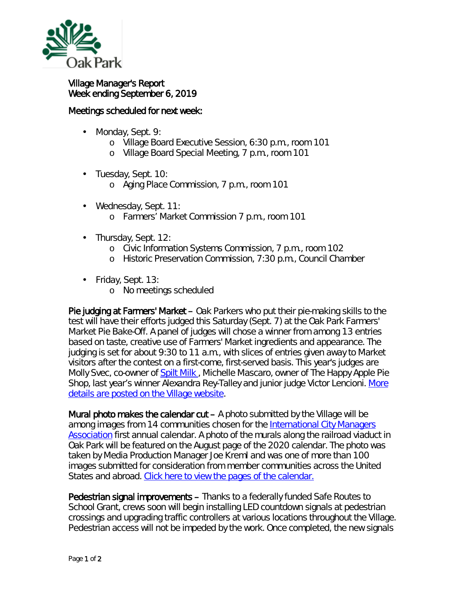

## Village Manager's Report Week ending September 6, 2019

## Meetings scheduled for next week:

- Monday, Sept. 9: ä,
	- o Village Board Executive Session, 6:30 p.m., room 101
	- o Village Board Special Meeting, 7 p.m., room 101
- Tuesday, Sept. 10:
	- o Aging Place Commission, 7 p.m., room 101
- Wednesday, Sept. 11:
	- o Farmers' Market Commission 7 p.m., room 101
- ä, Thursday, Sept. 12:
	- o Civic Information Systems Commission, 7 p.m., room 102
	- o Historic Preservation Commission, 7:30 p.m., Council Chamber
- Friday, Sept. 13:
	- o No meetings scheduled

Pie judging at Farmers' Market – Oak Parkers who put their pie-making skills to the test will have their efforts judged this Saturday (Sept. 7) at the Oak Park Farmers' Market *Pie Bake-Off*. A panel of judges will chose a winner from among 13 entries based on taste, creative use of Farmers' Market ingredients and appearance. The judging is set for about 9:30 to 11 a.m., with slices of entries given away to Market visitors after the contest on a first-come, first-served basis. This year's judges are Molly Svec, co-owner of [Spilt Milk](https://www.spiltmilkpastry.com/) , Michelle Mascaro, owner of The Happy Apple Pie Shop, last year's winner Alexandra Rey-Talley and junior judge Victor Lencioni. More [details are posted on the Village website.](https://www.oak-park.us/news/pie-bake-returns-farmers-market)

Mural photo makes the calendar  $cut - A$  photo submitted by the Village will be among images from 14 communities chosen for the International City Managers [Association](https://icma.org/) first annual calendar. A photo of the murals along the railroad viaduct in Oak Park will be featured on the August page of the 2020 calendar. The photo was taken by Media Production Manager Joe Kreml and was one of more than 100 images submitted for consideration from member communities across the United States and abroad. [Click here to view the pages of the calendar.](https://icma.org/articles/member-news/announcing-2020-icma-calendar-winning-photos)

Pedestrian signal improvements – Thanks to a federally funded Safe Routes to School Grant, crews soon will begin installing LED countdown signals at pedestrian crossings and upgrading traffic controllers at various locations throughout the Village. Pedestrian access will not be impeded by the work. Once completed, the new signals